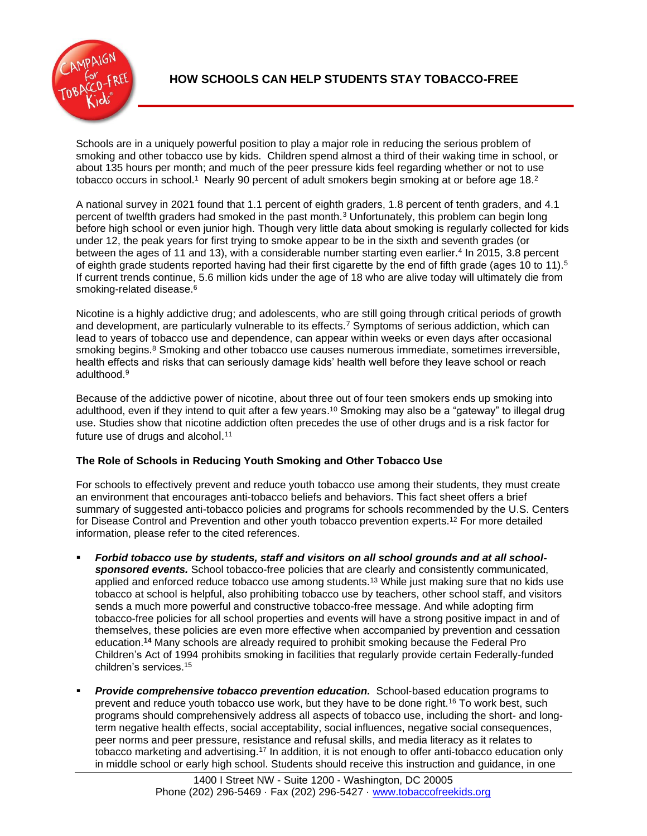

Schools are in a uniquely powerful position to play a major role in reducing the serious problem of smoking and other tobacco use by kids. Children spend almost a third of their waking time in school, or about 135 hours per month; and much of the peer pressure kids feel regarding whether or not to use tobacco occurs in school.1 Nearly 90 percent of adult smokers begin smoking at or before age 18.<sup>2</sup>

A national survey in 2021 found that 1.1 percent of eighth graders, 1.8 percent of tenth graders, and 4.1 percent of twelfth graders had smoked in the past month.<sup>3</sup> Unfortunately, this problem can begin long before high school or even junior high. Though very little data about smoking is regularly collected for kids under 12, the peak years for first trying to smoke appear to be in the sixth and seventh grades (or between the ages of 11 and 13), with a considerable number starting even earlier.<sup>4</sup> In 2015, 3.8 percent of eighth grade students reported having had their first cigarette by the end of fifth grade (ages 10 to 11).<sup>5</sup> If current trends continue, 5.6 million kids under the age of 18 who are alive today will ultimately die from smoking-related disease. 6

Nicotine is a highly addictive drug; and adolescents, who are still going through critical periods of growth and development, are particularly vulnerable to its effects.<sup>7</sup> Symptoms of serious addiction, which can lead to years of tobacco use and dependence, can appear within weeks or even days after occasional smoking begins.<sup>8</sup> Smoking and other tobacco use causes numerous immediate, sometimes irreversible, health effects and risks that can seriously damage kids' health well before they leave school or reach adulthood.<sup>9</sup>

Because of the addictive power of nicotine, about three out of four teen smokers ends up smoking into adulthood, even if they intend to quit after a few years. <sup>10</sup> Smoking may also be a "gateway" to illegal drug use. Studies show that nicotine addiction often precedes the use of other drugs and is a risk factor for future use of drugs and alcohol.<sup>11</sup>

## **The Role of Schools in Reducing Youth Smoking and Other Tobacco Use**

For schools to effectively prevent and reduce youth tobacco use among their students, they must create an environment that encourages anti-tobacco beliefs and behaviors. This fact sheet offers a brief summary of suggested anti-tobacco policies and programs for schools recommended by the U.S. Centers for Disease Control and Prevention and other youth tobacco prevention experts.<sup>12</sup> For more detailed information, please refer to the cited references.

- *Forbid tobacco use by students, staff and visitors on all school grounds and at all schoolsponsored events.* School tobacco-free policies that are clearly and consistently communicated, applied and enforced reduce tobacco use among students.<sup>13</sup> While just making sure that no kids use tobacco at school is helpful, also prohibiting tobacco use by teachers, other school staff, and visitors sends a much more powerful and constructive tobacco-free message. And while adopting firm tobacco-free policies for all school properties and events will have a strong positive impact in and of themselves, these policies are even more effective when accompanied by prevention and cessation education.**<sup>14</sup>** Many schools are already required to prohibit smoking because the Federal Pro Children's Act of 1994 prohibits smoking in facilities that regularly provide certain Federally-funded children's services.<sup>15</sup>
- **Provide comprehensive tobacco prevention education.** School-based education programs to prevent and reduce youth tobacco use work, but they have to be done right.<sup>16</sup> To work best, such programs should comprehensively address all aspects of tobacco use, including the short- and longterm negative health effects, social acceptability, social influences, negative social consequences, peer norms and peer pressure, resistance and refusal skills, and media literacy as it relates to tobacco marketing and advertising.<sup>17</sup> In addition, it is not enough to offer anti-tobacco education only in middle school or early high school. Students should receive this instruction and guidance, in one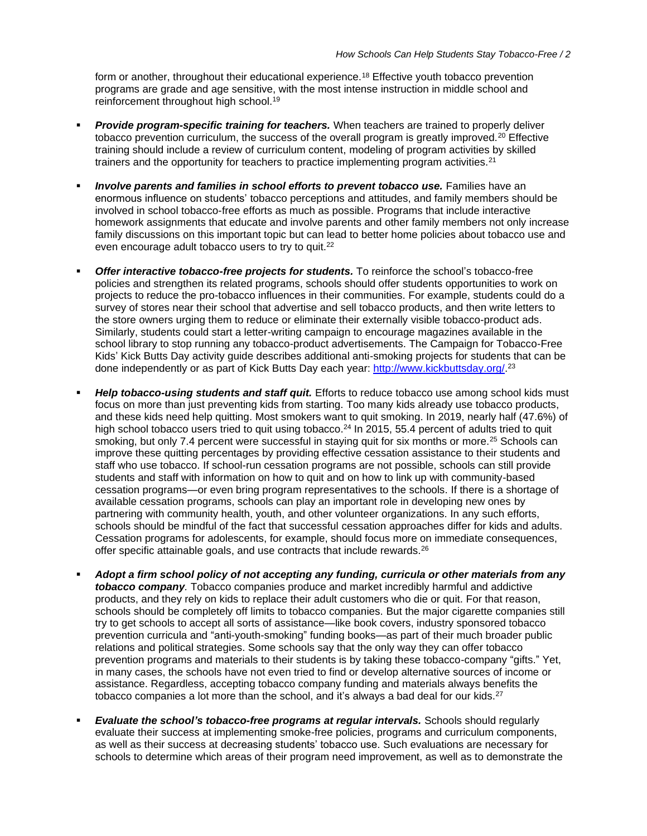form or another, throughout their educational experience.<sup>18</sup> Effective youth tobacco prevention programs are grade and age sensitive, with the most intense instruction in middle school and reinforcement throughout high school.<sup>19</sup>

- Provide program-specific training for teachers. When teachers are trained to properly deliver tobacco prevention curriculum, the success of the overall program is greatly improved.<sup>20</sup> Effective training should include a review of curriculum content, modeling of program activities by skilled trainers and the opportunity for teachers to practice implementing program activities.<sup>21</sup>
- *Involve parents and families in school efforts to prevent tobacco use.* **Families have an** enormous influence on students' tobacco perceptions and attitudes, and family members should be involved in school tobacco-free efforts as much as possible. Programs that include interactive homework assignments that educate and involve parents and other family members not only increase family discussions on this important topic but can lead to better home policies about tobacco use and even encourage adult tobacco users to try to quit.<sup>22</sup>
- **Offer interactive tobacco-free projects for students.** To reinforce the school's tobacco-free policies and strengthen its related programs, schools should offer students opportunities to work on projects to reduce the pro-tobacco influences in their communities. For example, students could do a survey of stores near their school that advertise and sell tobacco products, and then write letters to the store owners urging them to reduce or eliminate their externally visible tobacco-product ads. Similarly, students could start a letter-writing campaign to encourage magazines available in the school library to stop running any tobacco-product advertisements. The Campaign for Tobacco-Free Kids' Kick Butts Day activity guide describes additional anti-smoking projects for students that can be done independently or as part of Kick Butts Day each year: [http://www.kickbuttsday.org/.](http://www.kickbuttsday.org/)<sup>23</sup>
- **Help tobacco-using students and staff quit.** Efforts to reduce tobacco use among school kids must focus on more than just preventing kids from starting. Too many kids already use tobacco products, and these kids need help quitting. Most smokers want to quit smoking. In 2019, nearly half (47.6%) of high school tobacco users tried to quit using tobacco.<sup>24</sup> In 2015, 55.4 percent of adults tried to quit smoking, but only 7.4 percent were successful in staying quit for six months or more.<sup>25</sup> Schools can improve these quitting percentages by providing effective cessation assistance to their students and staff who use tobacco. If school-run cessation programs are not possible, schools can still provide students and staff with information on how to quit and on how to link up with community-based cessation programs—or even bring program representatives to the schools. If there is a shortage of available cessation programs, schools can play an important role in developing new ones by partnering with community health, youth, and other volunteer organizations. In any such efforts, schools should be mindful of the fact that successful cessation approaches differ for kids and adults. Cessation programs for adolescents, for example, should focus more on immediate consequences, offer specific attainable goals, and use contracts that include rewards.<sup>26</sup>
- *Adopt a firm school policy of not accepting any funding, curricula or other materials from any tobacco company.* Tobacco companies produce and market incredibly harmful and addictive products, and they rely on kids to replace their adult customers who die or quit. For that reason, schools should be completely off limits to tobacco companies. But the major cigarette companies still try to get schools to accept all sorts of assistance—like book covers, industry sponsored tobacco prevention curricula and "anti-youth-smoking" funding books—as part of their much broader public relations and political strategies. Some schools say that the only way they can offer tobacco prevention programs and materials to their students is by taking these tobacco-company "gifts." Yet, in many cases, the schools have not even tried to find or develop alternative sources of income or assistance. Regardless, accepting tobacco company funding and materials always benefits the tobacco companies a lot more than the school, and it's always a bad deal for our kids.<sup>27</sup>
- *Evaluate the school's tobacco-free programs at regular intervals.* Schools should regularly evaluate their success at implementing smoke-free policies, programs and curriculum components, as well as their success at decreasing students' tobacco use. Such evaluations are necessary for schools to determine which areas of their program need improvement, as well as to demonstrate the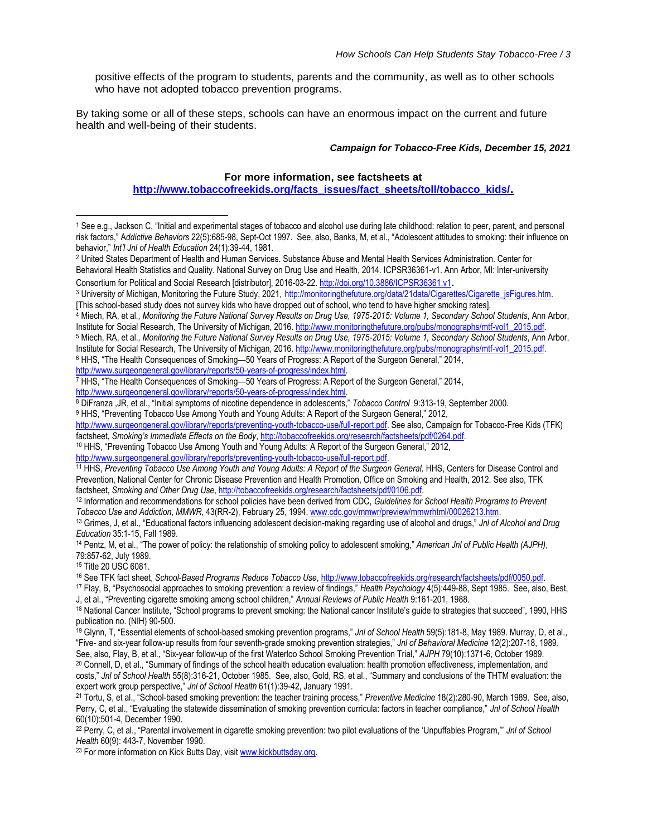positive effects of the program to students, parents and the community, as well as to other schools who have not adopted tobacco prevention programs.

By taking some or all of these steps, schools can have an enormous impact on the current and future health and well-being of their students.

## *Campaign for Tobacco-Free Kids, December 15, 2021*

## **For more information, see factsheets at**

**[http://www.tobaccofreekids.org/facts\\_issues/fact\\_sheets/toll/tobacco\\_kids/.](http://www.tobaccofreekids.org/facts_issues/fact_sheets/toll/tobacco_kids/)**

<sup>6</sup> HHS, "The Health Consequences of Smoking—50 Years of Progress: A Report of the Surgeon General," 2014,

[http://www.surgeongeneral.gov/library/reports/50-years-of-progress/index.html.](http://www.surgeongeneral.gov/library/reports/50-years-of-progress/index.html)

<sup>7</sup> HHS, "The Health Consequences of Smoking—50 Years of Progress: A Report of the Surgeon General," 2014,

[http://www.surgeongeneral.gov/library/reports/50-years-of-progress/index.html.](http://www.surgeongeneral.gov/library/reports/50-years-of-progress/index.html)

<sup>8</sup> DiFranza ,JR, et al., "Initial symptoms of nicotine dependence in adolescents," *Tobacco Control* 9:313-19, September 2000.

9 HHS, "Preventing Tobacco Use Among Youth and Young Adults: A Report of the Surgeon General," 2012,

[http://www.surgeongeneral.gov/library/reports/preventing-youth-tobacco-use/full-report.pdf.](http://www.surgeongeneral.gov/library/reports/preventing-youth-tobacco-use/full-report.pdf) See also, Campaign for Tobacco-Free Kids (TFK) factsheet, *Smoking's Immediate Effects on the Body*, [http://tobaccofreekids.org/research/factsheets/pdf/0264.pdf.](http://tobaccofreekids.org/research/factsheets/pdf/0264.pdf)

<sup>10</sup> HHS, "Preventing Tobacco Use Among Youth and Young Adults: A Report of the Surgeon General," 2012,

[http://www.surgeongeneral.gov/library/reports/preventing-youth-tobacco-use/full-report.pdf.](http://www.surgeongeneral.gov/library/reports/preventing-youth-tobacco-use/full-report.pdf)

<sup>12</sup> Information and recommendations for school policies have been derived from CDC, *Guidelines for School Health Programs to Prevent Tobacco Use and Addiction*, *MMWR*, 43(RR-2), February 25, 1994, [www.cdc.gov/mmwr/preview/mmwrhtml/00026213.htm.](http://www.cdc.gov/mmwr/preview/mmwrhtml/00026213.htm) 

<sup>13</sup> Grimes, J, et al., "Educational factors influencing adolescent decision-making regarding use of alcohol and drugs," *Jnl of Alcohol and Drug Education* 35:1-15, Fall 1989.

<sup>15</sup> Title 20 USC 6081.

16 See TFK fact sheet, School-Based Programs Reduce Tobacco Use, [http://www.tobaccofreekids.org/research/factsheets/pdf/0050.pdf.](http://www.tobaccofreekids.org/research/factsheets/pdf/0050.pdf)

<sup>17</sup> Flay, B, "Psychosocial approaches to smoking prevention: a review of findings," *Health Psychology* 4(5):449-88, Sept 1985. See, also, Best, J, et al., "Preventing cigarette smoking among school children," *Annual Reviews of Public Health* 9:161-201, 1988.

<sup>20</sup> Connell, D, et al., "Summary of findings of the school health education evaluation: health promotion effectiveness, implementation, and costs," *Jnl of School Health* 55(8):316-21, October 1985. See, also, Gold, RS, et al., "Summary and conclusions of the THTM evaluation: the expert work group perspective," *Jnl of School Health* 61(1):39-42, January 1991.

<sup>21</sup> Tortu, S, et al., "School-based smoking prevention: the teacher training process," *Preventive Medicine* 18(2):280-90, March 1989. See, also, Perry, C, et al., "Evaluating the statewide dissemination of smoking prevention curricula: factors in teacher compliance," *Jnl of School Health*  60(10):501-4, December 1990.

<sup>22</sup> Perry, C, et al., "Parental involvement in cigarette smoking prevention: two pilot evaluations of the 'Unpuffables Program,'" *Jnl of School Health* 60(9): 443-7, November 1990.

<sup>23</sup> For more information on Kick Butts Day, visit www.kickbuttsday.org.

<sup>1</sup> See e.g., Jackson C, "Initial and experimental stages of tobacco and alcohol use during late childhood: relation to peer, parent, and personal risk factors," A*ddictive Behaviors* 22(5):685-98, Sept-Oct 1997. See, also, Banks, M, et al., "Adolescent attitudes to smoking: their influence on behavior," *Int'l Jnl of Health Education* 24(1):39-44, 1981.

<sup>2</sup> United States Department of Health and Human Services. Substance Abuse and Mental Health Services Administration. Center for Behavioral Health Statistics and Quality. National Survey on Drug Use and Health, 2014. ICPSR36361-v1. Ann Arbor, MI: Inter-university Consortium for Political and Social Research [distributor], 2016-03-22[. http://doi.org/10.3886/ICPSR36361.v1](http://doi.org/10.3886/ICPSR36361.v1).

<sup>3</sup> University of Michigan, Monitoring the Future Study, 2021, [http://monitoringthefuture.org/data/21data/Cigarettes/Cigarette\\_jsFigures.htm.](http://monitoringthefuture.org/data/21data/Cigarettes/Cigarette_jsFigures.htm) [This school-based study does not survey kids who have dropped out of school, who tend to have higher smoking rates].

<sup>4</sup> Miech, RA, et al*., Monitoring the Future National Survey Results on Drug Use, 1975-2015: Volume 1, Secondary School Students*, Ann Arbor, Institute for Social Research, The University of Michigan, 2016. [http://www.monitoringthefuture.org/pubs/monographs/mtf-vol1\\_2015.pdf.](http://www.monitoringthefuture.org/pubs/monographs/mtf-vol1_2015.pdf)

<sup>5</sup> Miech, RA, et al*., Monitoring the Future National Survey Results on Drug Use, 1975-2015: Volume 1, Secondary School Students*, Ann Arbor, Institute for Social Research, The University of Michigan, 2016. [http://www.monitoringthefuture.org/pubs/monographs/mtf-vol1\\_2015.pdf.](http://www.monitoringthefuture.org/pubs/monographs/mtf-vol1_2015.pdf)

<sup>&</sup>lt;sup>11</sup> HHS, Preventing Tobacco Use Among Youth and Young Adults: A Report of the Surgeon General, HHS, Centers for Disease Control and Prevention, National Center for Chronic Disease Prevention and Health Promotion, Office on Smoking and Health, 2012. See also, TFK factsheet, *Smoking and Other Drug Use*, [http://tobaccofreekids.org/research/factsheets/pdf/0106.pdf.](http://tobaccofreekids.org/research/factsheets/pdf/0106.pdf) 

<sup>14</sup> Pentz, M, et al., "The power of policy: the relationship of smoking policy to adolescent smoking," *American Jnl of Public Health (AJPH)*, 79:857-62, July 1989.

<sup>18</sup> National Cancer Institute, "School programs to prevent smoking: the National cancer Institute's guide to strategies that succeed", 1990, HHS publication no. (NIH) 90-500.

<sup>19</sup> Glynn, T, "Essential elements of school-based smoking prevention programs," *Jnl of School Health* 59(5):181-8, May 1989. Murray, D, et al., "Five- and six-year follow-up results from four seventh-grade smoking prevention strategies," *Jnl of Behavioral Medicine* 12(2):207-18, 1989. See, also, Flay, B, et al., "Six-year follow-up of the first Waterloo School Smoking Prevention Trial," *AJPH* 79(10):1371-6, October 1989.